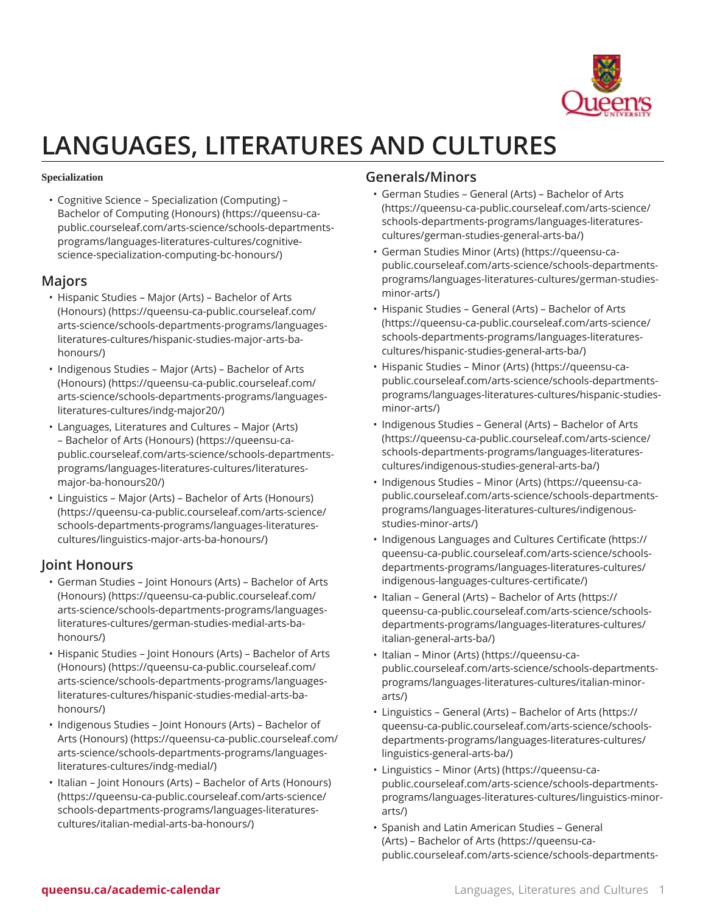

# **LANGUAGES, LITERATURES AND CULTURES**

#### **Specialization**

• [Cognitive Science – Specialization \(Computing\) –](https://queensu-ca-public.courseleaf.com/arts-science/schools-departments-programs/languages-literatures-cultures/cognitive-science-specialization-computing-bc-honours/) [Bachelor of Computing \(Honours\)](https://queensu-ca-public.courseleaf.com/arts-science/schools-departments-programs/languages-literatures-cultures/cognitive-science-specialization-computing-bc-honours/) ([https://queensu-ca](https://queensu-ca-public.courseleaf.com/arts-science/schools-departments-programs/languages-literatures-cultures/cognitive-science-specialization-computing-bc-honours/)[public.courseleaf.com/arts-science/schools-departments](https://queensu-ca-public.courseleaf.com/arts-science/schools-departments-programs/languages-literatures-cultures/cognitive-science-specialization-computing-bc-honours/)[programs/languages-literatures-cultures/cognitive](https://queensu-ca-public.courseleaf.com/arts-science/schools-departments-programs/languages-literatures-cultures/cognitive-science-specialization-computing-bc-honours/)[science-specialization-computing-bc-honours/](https://queensu-ca-public.courseleaf.com/arts-science/schools-departments-programs/languages-literatures-cultures/cognitive-science-specialization-computing-bc-honours/))

### **Majors**

- [Hispanic Studies Major \(Arts\) Bachelor of Arts](https://queensu-ca-public.courseleaf.com/arts-science/schools-departments-programs/languages-literatures-cultures/hispanic-studies-major-arts-ba-honours/) [\(Honours\)](https://queensu-ca-public.courseleaf.com/arts-science/schools-departments-programs/languages-literatures-cultures/hispanic-studies-major-arts-ba-honours/) ([https://queensu-ca-public.courseleaf.com/](https://queensu-ca-public.courseleaf.com/arts-science/schools-departments-programs/languages-literatures-cultures/hispanic-studies-major-arts-ba-honours/) [arts-science/schools-departments-programs/languages](https://queensu-ca-public.courseleaf.com/arts-science/schools-departments-programs/languages-literatures-cultures/hispanic-studies-major-arts-ba-honours/)[literatures-cultures/hispanic-studies-major-arts-ba](https://queensu-ca-public.courseleaf.com/arts-science/schools-departments-programs/languages-literatures-cultures/hispanic-studies-major-arts-ba-honours/)[honours/\)](https://queensu-ca-public.courseleaf.com/arts-science/schools-departments-programs/languages-literatures-cultures/hispanic-studies-major-arts-ba-honours/)
- [Indigenous Studies Major \(Arts\) Bachelor of Arts](https://queensu-ca-public.courseleaf.com/arts-science/schools-departments-programs/languages-literatures-cultures/indg-major20/) [\(Honours\)](https://queensu-ca-public.courseleaf.com/arts-science/schools-departments-programs/languages-literatures-cultures/indg-major20/) ([https://queensu-ca-public.courseleaf.com/](https://queensu-ca-public.courseleaf.com/arts-science/schools-departments-programs/languages-literatures-cultures/indg-major20/) [arts-science/schools-departments-programs/languages](https://queensu-ca-public.courseleaf.com/arts-science/schools-departments-programs/languages-literatures-cultures/indg-major20/)[literatures-cultures/indg-major20/](https://queensu-ca-public.courseleaf.com/arts-science/schools-departments-programs/languages-literatures-cultures/indg-major20/))
- [Languages,](https://queensu-ca-public.courseleaf.com/arts-science/schools-departments-programs/languages-literatures-cultures/literatures-major-ba-honours20/) Literatures and Cultures Major (Arts) [– Bachelor of Arts \(Honours\)](https://queensu-ca-public.courseleaf.com/arts-science/schools-departments-programs/languages-literatures-cultures/literatures-major-ba-honours20/) ([https://queensu-ca](https://queensu-ca-public.courseleaf.com/arts-science/schools-departments-programs/languages-literatures-cultures/literatures-major-ba-honours20/)[public.courseleaf.com/arts-science/schools-departments](https://queensu-ca-public.courseleaf.com/arts-science/schools-departments-programs/languages-literatures-cultures/literatures-major-ba-honours20/)[programs/languages-literatures-cultures/literatures](https://queensu-ca-public.courseleaf.com/arts-science/schools-departments-programs/languages-literatures-cultures/literatures-major-ba-honours20/)[major-ba-honours20/](https://queensu-ca-public.courseleaf.com/arts-science/schools-departments-programs/languages-literatures-cultures/literatures-major-ba-honours20/))
- [Linguistics Major \(Arts\) Bachelor of Arts \(Honours\)](https://queensu-ca-public.courseleaf.com/arts-science/schools-departments-programs/languages-literatures-cultures/linguistics-major-arts-ba-honours/) ([https://queensu-ca-public.courseleaf.com/arts-science/](https://queensu-ca-public.courseleaf.com/arts-science/schools-departments-programs/languages-literatures-cultures/linguistics-major-arts-ba-honours/) [schools-departments-programs/languages-literatures](https://queensu-ca-public.courseleaf.com/arts-science/schools-departments-programs/languages-literatures-cultures/linguistics-major-arts-ba-honours/)[cultures/linguistics-major-arts-ba-honours/\)](https://queensu-ca-public.courseleaf.com/arts-science/schools-departments-programs/languages-literatures-cultures/linguistics-major-arts-ba-honours/)

## **Joint Honours**

- [German Studies Joint Honours \(Arts\) Bachelor of Arts](https://queensu-ca-public.courseleaf.com/arts-science/schools-departments-programs/languages-literatures-cultures/german-studies-medial-arts-ba-honours/) [\(Honours\)](https://queensu-ca-public.courseleaf.com/arts-science/schools-departments-programs/languages-literatures-cultures/german-studies-medial-arts-ba-honours/) ([https://queensu-ca-public.courseleaf.com/](https://queensu-ca-public.courseleaf.com/arts-science/schools-departments-programs/languages-literatures-cultures/german-studies-medial-arts-ba-honours/) [arts-science/schools-departments-programs/languages](https://queensu-ca-public.courseleaf.com/arts-science/schools-departments-programs/languages-literatures-cultures/german-studies-medial-arts-ba-honours/)[literatures-cultures/german-studies-medial-arts-ba](https://queensu-ca-public.courseleaf.com/arts-science/schools-departments-programs/languages-literatures-cultures/german-studies-medial-arts-ba-honours/)[honours/\)](https://queensu-ca-public.courseleaf.com/arts-science/schools-departments-programs/languages-literatures-cultures/german-studies-medial-arts-ba-honours/)
- [Hispanic Studies Joint Honours \(Arts\) Bachelor of Arts](https://queensu-ca-public.courseleaf.com/arts-science/schools-departments-programs/languages-literatures-cultures/hispanic-studies-medial-arts-ba-honours/) [\(Honours\)](https://queensu-ca-public.courseleaf.com/arts-science/schools-departments-programs/languages-literatures-cultures/hispanic-studies-medial-arts-ba-honours/) ([https://queensu-ca-public.courseleaf.com/](https://queensu-ca-public.courseleaf.com/arts-science/schools-departments-programs/languages-literatures-cultures/hispanic-studies-medial-arts-ba-honours/) [arts-science/schools-departments-programs/languages](https://queensu-ca-public.courseleaf.com/arts-science/schools-departments-programs/languages-literatures-cultures/hispanic-studies-medial-arts-ba-honours/)[literatures-cultures/hispanic-studies-medial-arts-ba](https://queensu-ca-public.courseleaf.com/arts-science/schools-departments-programs/languages-literatures-cultures/hispanic-studies-medial-arts-ba-honours/)[honours/\)](https://queensu-ca-public.courseleaf.com/arts-science/schools-departments-programs/languages-literatures-cultures/hispanic-studies-medial-arts-ba-honours/)
- [Indigenous Studies Joint Honours \(Arts\) Bachelor of](https://queensu-ca-public.courseleaf.com/arts-science/schools-departments-programs/languages-literatures-cultures/indg-medial/) [Arts \(Honours\)](https://queensu-ca-public.courseleaf.com/arts-science/schools-departments-programs/languages-literatures-cultures/indg-medial/) ([https://queensu-ca-public.courseleaf.com/](https://queensu-ca-public.courseleaf.com/arts-science/schools-departments-programs/languages-literatures-cultures/indg-medial/) [arts-science/schools-departments-programs/languages](https://queensu-ca-public.courseleaf.com/arts-science/schools-departments-programs/languages-literatures-cultures/indg-medial/)[literatures-cultures/indg-medial/](https://queensu-ca-public.courseleaf.com/arts-science/schools-departments-programs/languages-literatures-cultures/indg-medial/))
- [Italian Joint Honours \(Arts\) Bachelor of Arts \(Honours\)](https://queensu-ca-public.courseleaf.com/arts-science/schools-departments-programs/languages-literatures-cultures/italian-medial-arts-ba-honours/) ([https://queensu-ca-public.courseleaf.com/arts-science/](https://queensu-ca-public.courseleaf.com/arts-science/schools-departments-programs/languages-literatures-cultures/italian-medial-arts-ba-honours/) [schools-departments-programs/languages-literatures](https://queensu-ca-public.courseleaf.com/arts-science/schools-departments-programs/languages-literatures-cultures/italian-medial-arts-ba-honours/)[cultures/italian-medial-arts-ba-honours/\)](https://queensu-ca-public.courseleaf.com/arts-science/schools-departments-programs/languages-literatures-cultures/italian-medial-arts-ba-honours/)

## **Generals/Minors**

- German Studies General (Arts) [Bachelor](https://queensu-ca-public.courseleaf.com/arts-science/schools-departments-programs/languages-literatures-cultures/german-studies-general-arts-ba/) of Arts ([https://queensu-ca-public.courseleaf.com/arts-science/](https://queensu-ca-public.courseleaf.com/arts-science/schools-departments-programs/languages-literatures-cultures/german-studies-general-arts-ba/) [schools-departments-programs/languages-literatures](https://queensu-ca-public.courseleaf.com/arts-science/schools-departments-programs/languages-literatures-cultures/german-studies-general-arts-ba/)[cultures/german-studies-general-arts-ba/\)](https://queensu-ca-public.courseleaf.com/arts-science/schools-departments-programs/languages-literatures-cultures/german-studies-general-arts-ba/)
- [German Studies Minor \(Arts\)](https://queensu-ca-public.courseleaf.com/arts-science/schools-departments-programs/languages-literatures-cultures/german-studies-minor-arts/) [\(https://queensu-ca](https://queensu-ca-public.courseleaf.com/arts-science/schools-departments-programs/languages-literatures-cultures/german-studies-minor-arts/)[public.courseleaf.com/arts-science/schools-departments](https://queensu-ca-public.courseleaf.com/arts-science/schools-departments-programs/languages-literatures-cultures/german-studies-minor-arts/)[programs/languages-literatures-cultures/german-studies](https://queensu-ca-public.courseleaf.com/arts-science/schools-departments-programs/languages-literatures-cultures/german-studies-minor-arts/)[minor-arts/\)](https://queensu-ca-public.courseleaf.com/arts-science/schools-departments-programs/languages-literatures-cultures/german-studies-minor-arts/)
- Hispanic Studies General (Arts) [Bachelor](https://queensu-ca-public.courseleaf.com/arts-science/schools-departments-programs/languages-literatures-cultures/hispanic-studies-general-arts-ba/) of Arts ([https://queensu-ca-public.courseleaf.com/arts-science/](https://queensu-ca-public.courseleaf.com/arts-science/schools-departments-programs/languages-literatures-cultures/hispanic-studies-general-arts-ba/) [schools-departments-programs/languages-literatures](https://queensu-ca-public.courseleaf.com/arts-science/schools-departments-programs/languages-literatures-cultures/hispanic-studies-general-arts-ba/)[cultures/hispanic-studies-general-arts-ba/\)](https://queensu-ca-public.courseleaf.com/arts-science/schools-departments-programs/languages-literatures-cultures/hispanic-studies-general-arts-ba/)
- [Hispanic Studies Minor \(Arts\)](https://queensu-ca-public.courseleaf.com/arts-science/schools-departments-programs/languages-literatures-cultures/hispanic-studies-minor-arts/) ([https://queensu-ca](https://queensu-ca-public.courseleaf.com/arts-science/schools-departments-programs/languages-literatures-cultures/hispanic-studies-minor-arts/)[public.courseleaf.com/arts-science/schools-departments](https://queensu-ca-public.courseleaf.com/arts-science/schools-departments-programs/languages-literatures-cultures/hispanic-studies-minor-arts/)[programs/languages-literatures-cultures/hispanic-studies](https://queensu-ca-public.courseleaf.com/arts-science/schools-departments-programs/languages-literatures-cultures/hispanic-studies-minor-arts/)[minor-arts/\)](https://queensu-ca-public.courseleaf.com/arts-science/schools-departments-programs/languages-literatures-cultures/hispanic-studies-minor-arts/)
- [Indigenous](https://queensu-ca-public.courseleaf.com/arts-science/schools-departments-programs/languages-literatures-cultures/indigenous-studies-general-arts-ba/) Studies General (Arts) Bachelor of Arts ([https://queensu-ca-public.courseleaf.com/arts-science/](https://queensu-ca-public.courseleaf.com/arts-science/schools-departments-programs/languages-literatures-cultures/indigenous-studies-general-arts-ba/) [schools-departments-programs/languages-literatures](https://queensu-ca-public.courseleaf.com/arts-science/schools-departments-programs/languages-literatures-cultures/indigenous-studies-general-arts-ba/)[cultures/indigenous-studies-general-arts-ba/](https://queensu-ca-public.courseleaf.com/arts-science/schools-departments-programs/languages-literatures-cultures/indigenous-studies-general-arts-ba/))
- [Indigenous Studies Minor \(Arts\)](https://queensu-ca-public.courseleaf.com/arts-science/schools-departments-programs/languages-literatures-cultures/indigenous-studies-minor-arts/) [\(https://queensu-ca](https://queensu-ca-public.courseleaf.com/arts-science/schools-departments-programs/languages-literatures-cultures/indigenous-studies-minor-arts/)[public.courseleaf.com/arts-science/schools-departments](https://queensu-ca-public.courseleaf.com/arts-science/schools-departments-programs/languages-literatures-cultures/indigenous-studies-minor-arts/)[programs/languages-literatures-cultures/indigenous](https://queensu-ca-public.courseleaf.com/arts-science/schools-departments-programs/languages-literatures-cultures/indigenous-studies-minor-arts/)[studies-minor-arts/\)](https://queensu-ca-public.courseleaf.com/arts-science/schools-departments-programs/languages-literatures-cultures/indigenous-studies-minor-arts/)
- [Indigenous](https://queensu-ca-public.courseleaf.com/arts-science/schools-departments-programs/languages-literatures-cultures/indigenous-languages-cultures-certificate/) Languages and Cultures Certificate ([https://](https://queensu-ca-public.courseleaf.com/arts-science/schools-departments-programs/languages-literatures-cultures/indigenous-languages-cultures-certificate/) [queensu-ca-public.courseleaf.com/arts-science/schools](https://queensu-ca-public.courseleaf.com/arts-science/schools-departments-programs/languages-literatures-cultures/indigenous-languages-cultures-certificate/)[departments-programs/languages-literatures-cultures/](https://queensu-ca-public.courseleaf.com/arts-science/schools-departments-programs/languages-literatures-cultures/indigenous-languages-cultures-certificate/) [indigenous-languages-cultures-certificate/\)](https://queensu-ca-public.courseleaf.com/arts-science/schools-departments-programs/languages-literatures-cultures/indigenous-languages-cultures-certificate/)
- Italian General (Arts) [Bachelor](https://queensu-ca-public.courseleaf.com/arts-science/schools-departments-programs/languages-literatures-cultures/italian-general-arts-ba/) of Arts ([https://](https://queensu-ca-public.courseleaf.com/arts-science/schools-departments-programs/languages-literatures-cultures/italian-general-arts-ba/) [queensu-ca-public.courseleaf.com/arts-science/schools](https://queensu-ca-public.courseleaf.com/arts-science/schools-departments-programs/languages-literatures-cultures/italian-general-arts-ba/)[departments-programs/languages-literatures-cultures/](https://queensu-ca-public.courseleaf.com/arts-science/schools-departments-programs/languages-literatures-cultures/italian-general-arts-ba/) [italian-general-arts-ba/\)](https://queensu-ca-public.courseleaf.com/arts-science/schools-departments-programs/languages-literatures-cultures/italian-general-arts-ba/)
- [Italian Minor \(Arts\)](https://queensu-ca-public.courseleaf.com/arts-science/schools-departments-programs/languages-literatures-cultures/italian-minor-arts/) ([https://queensu-ca](https://queensu-ca-public.courseleaf.com/arts-science/schools-departments-programs/languages-literatures-cultures/italian-minor-arts/)[public.courseleaf.com/arts-science/schools-departments](https://queensu-ca-public.courseleaf.com/arts-science/schools-departments-programs/languages-literatures-cultures/italian-minor-arts/)[programs/languages-literatures-cultures/italian-minor](https://queensu-ca-public.courseleaf.com/arts-science/schools-departments-programs/languages-literatures-cultures/italian-minor-arts/)[arts/\)](https://queensu-ca-public.courseleaf.com/arts-science/schools-departments-programs/languages-literatures-cultures/italian-minor-arts/)
- [Linguistics](https://queensu-ca-public.courseleaf.com/arts-science/schools-departments-programs/languages-literatures-cultures/linguistics-general-arts-ba/) General (Arts) Bachelor of Arts [\(https://](https://queensu-ca-public.courseleaf.com/arts-science/schools-departments-programs/languages-literatures-cultures/linguistics-general-arts-ba/) [queensu-ca-public.courseleaf.com/arts-science/schools](https://queensu-ca-public.courseleaf.com/arts-science/schools-departments-programs/languages-literatures-cultures/linguistics-general-arts-ba/)[departments-programs/languages-literatures-cultures/](https://queensu-ca-public.courseleaf.com/arts-science/schools-departments-programs/languages-literatures-cultures/linguistics-general-arts-ba/) [linguistics-general-arts-ba/](https://queensu-ca-public.courseleaf.com/arts-science/schools-departments-programs/languages-literatures-cultures/linguistics-general-arts-ba/))
- [Linguistics Minor \(Arts\)](https://queensu-ca-public.courseleaf.com/arts-science/schools-departments-programs/languages-literatures-cultures/linguistics-minor-arts/) [\(https://queensu-ca](https://queensu-ca-public.courseleaf.com/arts-science/schools-departments-programs/languages-literatures-cultures/linguistics-minor-arts/)[public.courseleaf.com/arts-science/schools-departments](https://queensu-ca-public.courseleaf.com/arts-science/schools-departments-programs/languages-literatures-cultures/linguistics-minor-arts/)[programs/languages-literatures-cultures/linguistics-minor](https://queensu-ca-public.courseleaf.com/arts-science/schools-departments-programs/languages-literatures-cultures/linguistics-minor-arts/)[arts/\)](https://queensu-ca-public.courseleaf.com/arts-science/schools-departments-programs/languages-literatures-cultures/linguistics-minor-arts/)
- Spanish and Latin [American](https://queensu-ca-public.courseleaf.com/arts-science/schools-departments-programs/languages-literatures-cultures/spanish-latin-american-studies-general-arts-ba/) Studies General [\(Arts\) – Bachelor of Arts](https://queensu-ca-public.courseleaf.com/arts-science/schools-departments-programs/languages-literatures-cultures/spanish-latin-american-studies-general-arts-ba/) ([https://queensu-ca](https://queensu-ca-public.courseleaf.com/arts-science/schools-departments-programs/languages-literatures-cultures/spanish-latin-american-studies-general-arts-ba/)[public.courseleaf.com/arts-science/schools-departments-](https://queensu-ca-public.courseleaf.com/arts-science/schools-departments-programs/languages-literatures-cultures/spanish-latin-american-studies-general-arts-ba/)